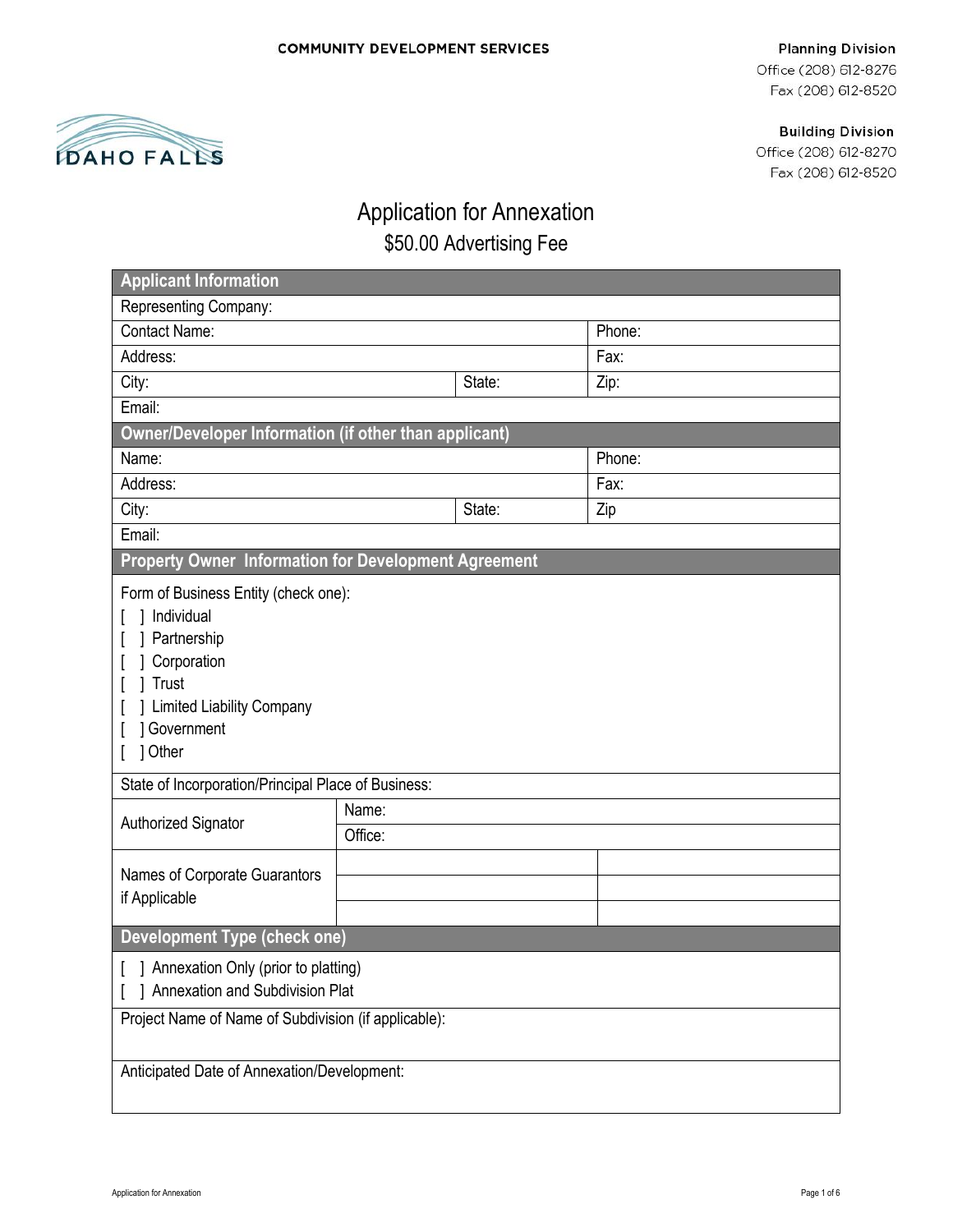# 1 **DAHO FALLS**

Office (208) 612-8276 Fax (208) 612-8520

**Building Division** 

Office (208) 612-8270 Fax (208) 612-8520

# Application for Annexation \$50.00 Advertising Fee

| <b>Applicant Information</b>                                                                                                                                                                                                                                                 |                  |        |        |  |
|------------------------------------------------------------------------------------------------------------------------------------------------------------------------------------------------------------------------------------------------------------------------------|------------------|--------|--------|--|
| Representing Company:                                                                                                                                                                                                                                                        |                  |        |        |  |
| <b>Contact Name:</b>                                                                                                                                                                                                                                                         |                  | Phone: |        |  |
| Address:                                                                                                                                                                                                                                                                     |                  |        | Fax:   |  |
| City:                                                                                                                                                                                                                                                                        |                  | State: | Zip:   |  |
| Email:                                                                                                                                                                                                                                                                       |                  |        |        |  |
| Owner/Developer Information (if other than applicant)                                                                                                                                                                                                                        |                  |        |        |  |
| Name:                                                                                                                                                                                                                                                                        |                  |        | Phone: |  |
| Address:                                                                                                                                                                                                                                                                     |                  |        | Fax:   |  |
| City:                                                                                                                                                                                                                                                                        |                  | State: | Zip    |  |
| Email:                                                                                                                                                                                                                                                                       |                  |        |        |  |
| Property Owner Information for Development Agreement                                                                                                                                                                                                                         |                  |        |        |  |
| Form of Business Entity (check one):<br>Individual<br>Partnership<br>Corporation<br>Trust<br><b>Limited Liability Company</b><br><b>Government</b><br>] Other<br>State of Incorporation/Principal Place of Business:<br>Authorized Signator<br>Names of Corporate Guarantors | Name:<br>Office: |        |        |  |
| if Applicable                                                                                                                                                                                                                                                                |                  |        |        |  |
| <b>Development Type (check one)</b>                                                                                                                                                                                                                                          |                  |        |        |  |
| [ ] Annexation Only (prior to platting)<br>] Annexation and Subdivision Plat                                                                                                                                                                                                 |                  |        |        |  |
| Project Name of Name of Subdivision (if applicable):                                                                                                                                                                                                                         |                  |        |        |  |
| Anticipated Date of Annexation/Development:                                                                                                                                                                                                                                  |                  |        |        |  |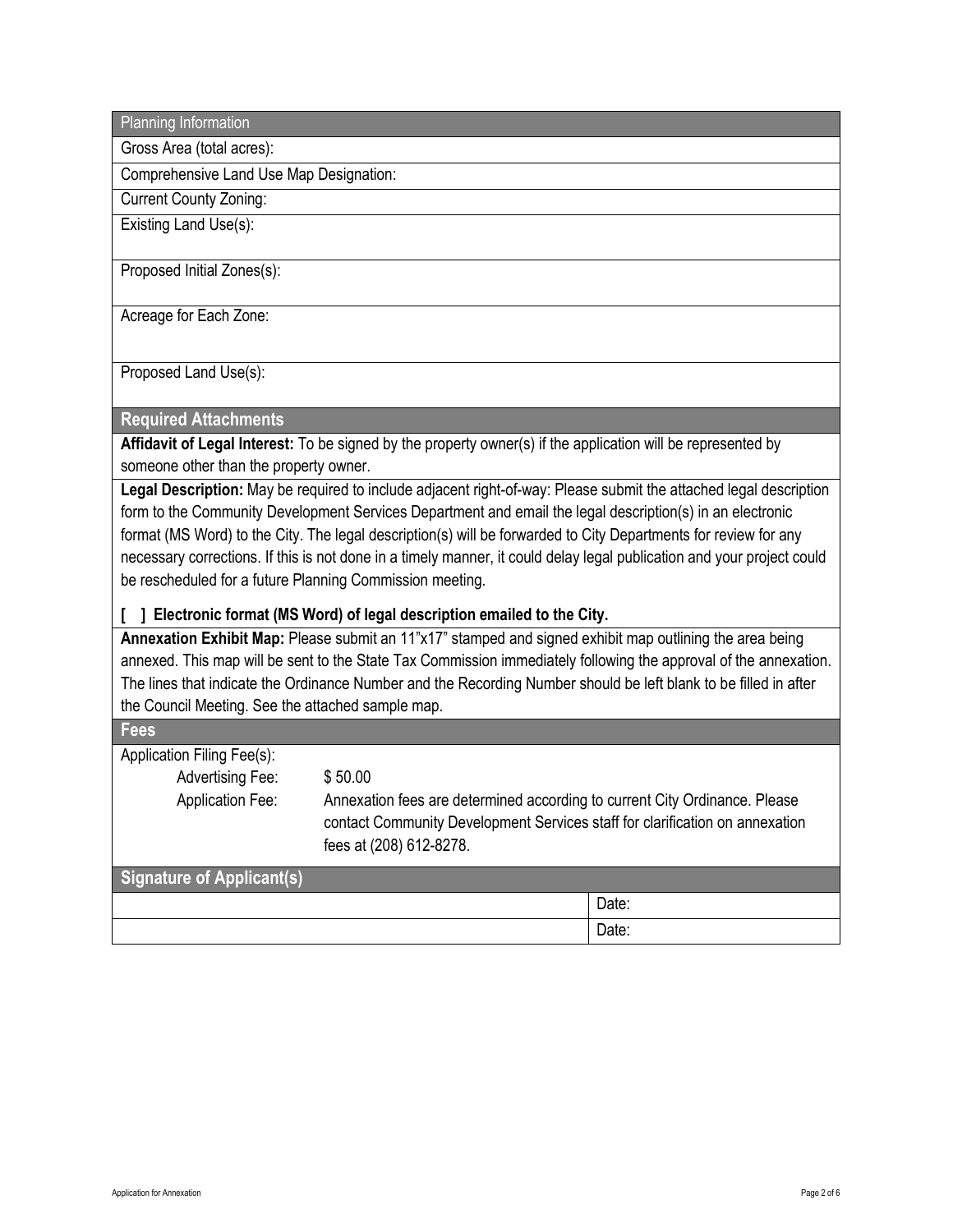Planning Information

Gross Area (total acres):

Comprehensive Land Use Map Designation:

Current County Zoning: Existing Land Use(s):

Proposed Initial Zones(s):

Acreage for Each Zone:

Proposed Land Use(s):

#### **Required Attachments**

**Affidavit of Legal Interest:** To be signed by the property owner(s) if the application will be represented by someone other than the property owner.

**Legal Description:** May be required to include adjacent right-of-way: Please submit the attached legal description form to the Community Development Services Department and email the legal description(s) in an electronic format (MS Word) to the City. The legal description(s) will be forwarded to City Departments for review for any necessary corrections. If this is not done in a timely manner, it could delay legal publication and your project could be rescheduled for a future Planning Commission meeting.

#### **[ ] Electronic format (MS Word) of legal description emailed to the City.**

**Annexation Exhibit Map:** Please submit an 11"x17" stamped and signed exhibit map outlining the area being annexed. This map will be sent to the State Tax Commission immediately following the approval of the annexation. The lines that indicate the Ordinance Number and the Recording Number should be left blank to be filled in after the Council Meeting. See the attached sample map.

| <b>Fees</b>                |                                                                                                                                                                                       |       |
|----------------------------|---------------------------------------------------------------------------------------------------------------------------------------------------------------------------------------|-------|
| Application Filing Fee(s): |                                                                                                                                                                                       |       |
| <b>Advertising Fee:</b>    | \$50.00                                                                                                                                                                               |       |
| <b>Application Fee:</b>    | Annexation fees are determined according to current City Ordinance. Please<br>contact Community Development Services staff for clarification on annexation<br>fees at (208) 612-8278. |       |
| Signature of Applicant(s)  |                                                                                                                                                                                       |       |
|                            |                                                                                                                                                                                       | Date: |
|                            |                                                                                                                                                                                       | Date: |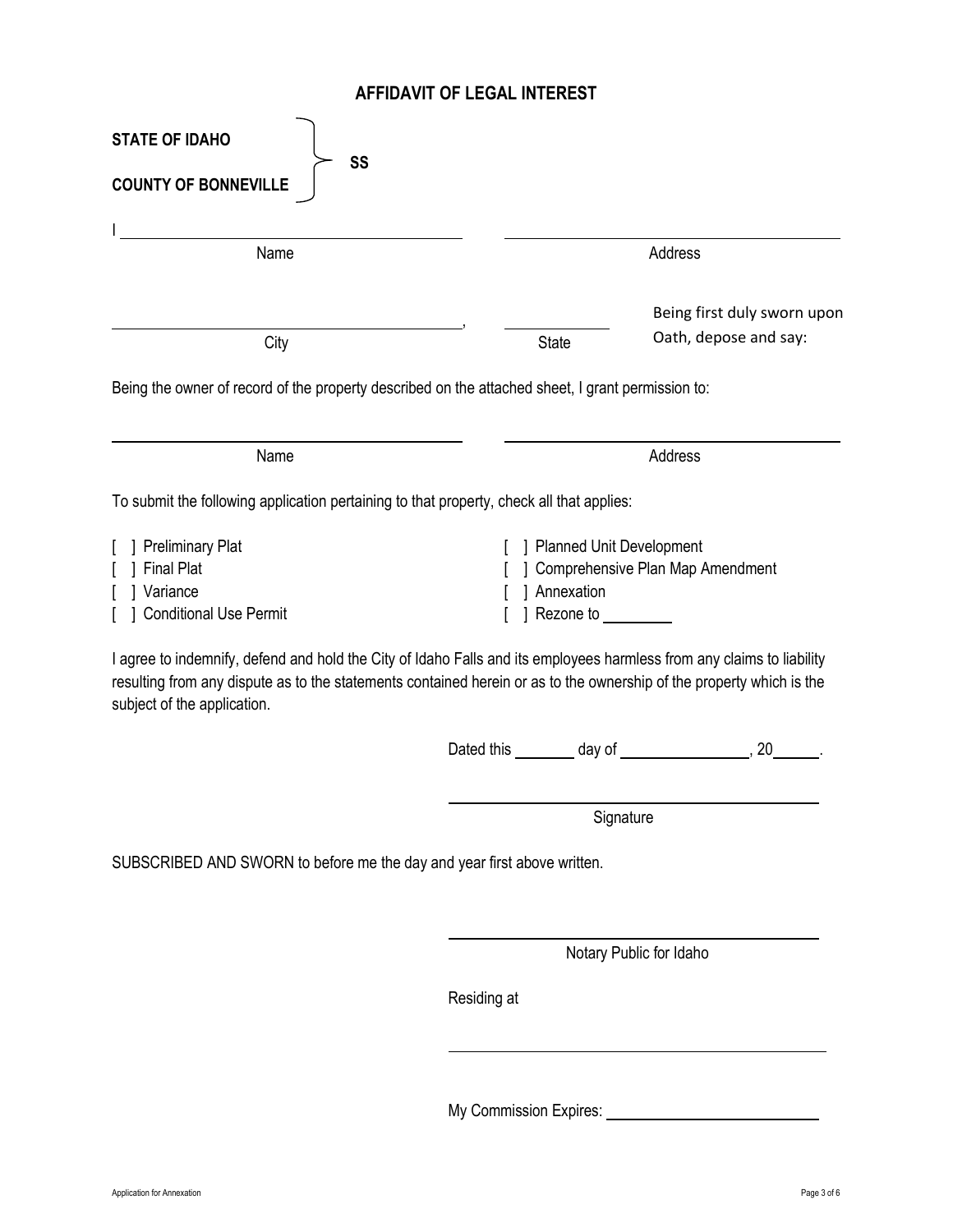### **AFFIDAVIT OF LEGAL INTEREST**

| <b>STATE OF IDAHO</b>                                                                                                                                                                                                                                                        |             |                                                                      |                                  |                                                          |  |
|------------------------------------------------------------------------------------------------------------------------------------------------------------------------------------------------------------------------------------------------------------------------------|-------------|----------------------------------------------------------------------|----------------------------------|----------------------------------------------------------|--|
| SS<br><b>COUNTY OF BONNEVILLE</b>                                                                                                                                                                                                                                            |             |                                                                      |                                  |                                                          |  |
| Name                                                                                                                                                                                                                                                                         |             |                                                                      |                                  | Address                                                  |  |
|                                                                                                                                                                                                                                                                              |             |                                                                      |                                  |                                                          |  |
| City                                                                                                                                                                                                                                                                         |             | Being first duly sworn upon<br>Oath, depose and say:<br><b>State</b> |                                  |                                                          |  |
| Being the owner of record of the property described on the attached sheet, I grant permission to:                                                                                                                                                                            |             |                                                                      |                                  |                                                          |  |
| Name                                                                                                                                                                                                                                                                         |             |                                                                      |                                  | Address                                                  |  |
| To submit the following application pertaining to that property, check all that applies:                                                                                                                                                                                     |             |                                                                      |                                  |                                                          |  |
| ] Preliminary Plat                                                                                                                                                                                                                                                           |             |                                                                      | ] Planned Unit Development       |                                                          |  |
| <b>Final Plat</b>                                                                                                                                                                                                                                                            |             |                                                                      |                                  | ] Comprehensive Plan Map Amendment                       |  |
| Variance<br><b>Conditional Use Permit</b>                                                                                                                                                                                                                                    |             |                                                                      | Annexation<br>] Rezone to ______ |                                                          |  |
| I agree to indemnify, defend and hold the City of Idaho Falls and its employees harmless from any claims to liability<br>resulting from any dispute as to the statements contained herein or as to the ownership of the property which is the<br>subject of the application. |             |                                                                      |                                  |                                                          |  |
|                                                                                                                                                                                                                                                                              |             |                                                                      |                                  |                                                          |  |
|                                                                                                                                                                                                                                                                              |             |                                                                      | Signature                        |                                                          |  |
| SUBSCRIBED AND SWORN to before me the day and year first above written.                                                                                                                                                                                                      |             |                                                                      |                                  |                                                          |  |
|                                                                                                                                                                                                                                                                              |             |                                                                      |                                  |                                                          |  |
|                                                                                                                                                                                                                                                                              |             |                                                                      | Notary Public for Idaho          |                                                          |  |
|                                                                                                                                                                                                                                                                              | Residing at |                                                                      |                                  |                                                          |  |
|                                                                                                                                                                                                                                                                              |             |                                                                      |                                  | My Commission Expires: Universely My Commission Expires: |  |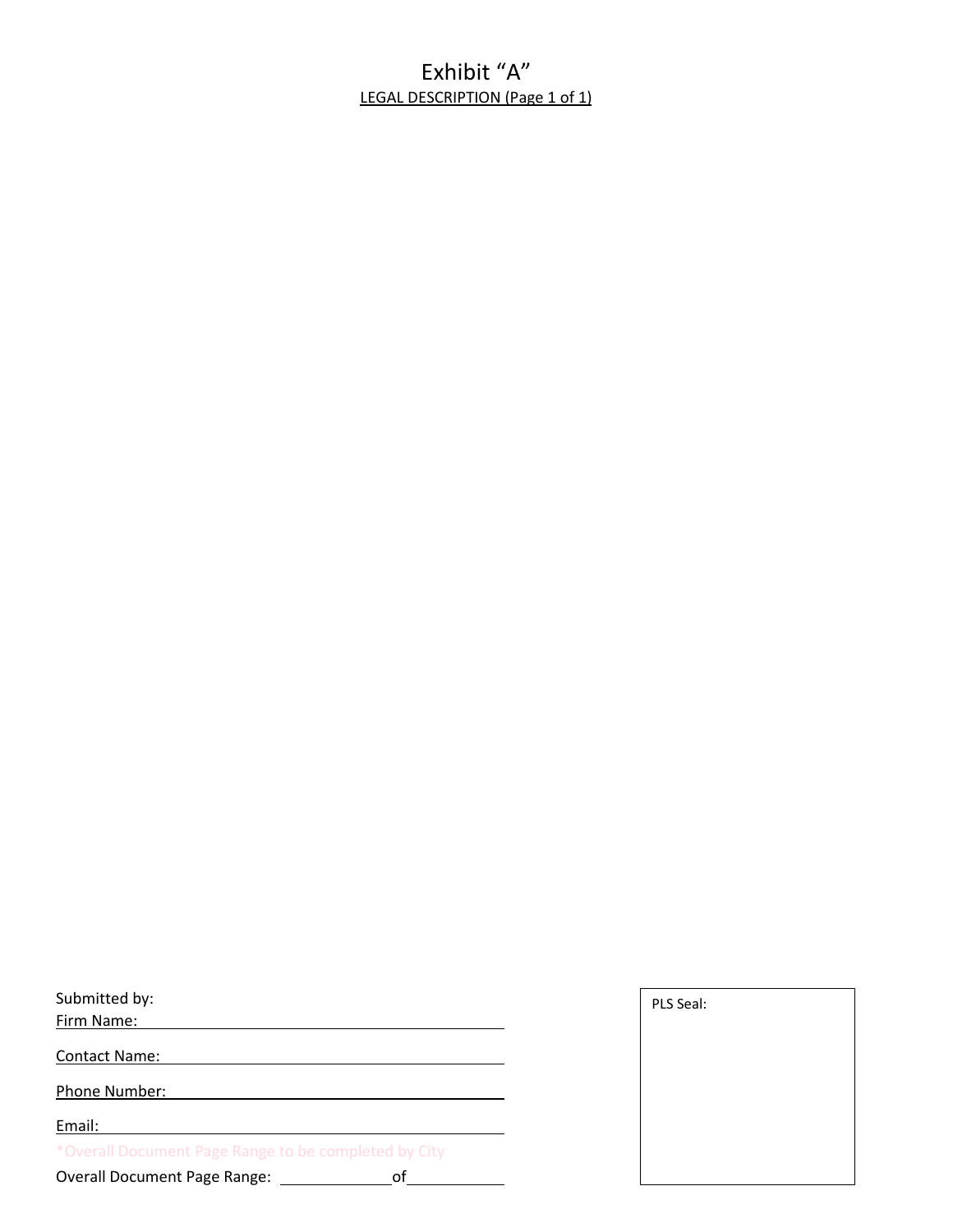## Exhibit "A" LEGAL DESCRIPTION (Page 1 of 1)

| Submitted by:                                        |  |
|------------------------------------------------------|--|
| Firm Name:                                           |  |
| <b>Contact Name:</b>                                 |  |
| Phone Number:                                        |  |
| Email:                                               |  |
| *Overall Document Page Range to be completed by City |  |
| <b>Overall Document Page Range:</b><br>Ωt            |  |

| PLS Seal: |  |  |
|-----------|--|--|
|           |  |  |
|           |  |  |
|           |  |  |
|           |  |  |
|           |  |  |
|           |  |  |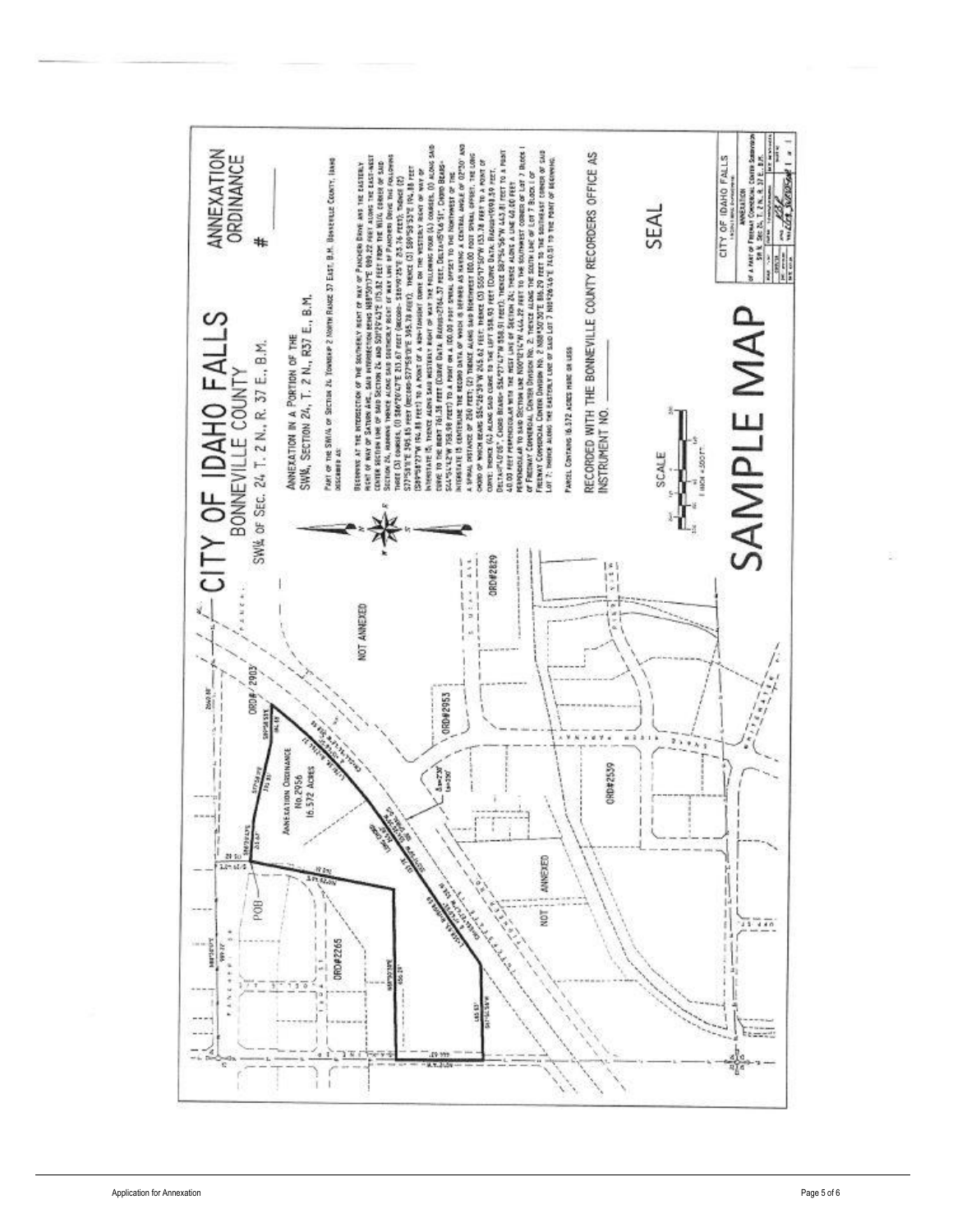